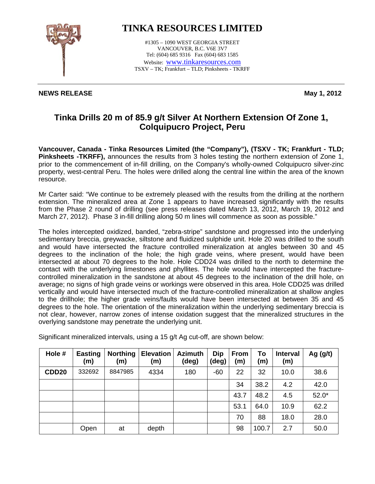

## **TINKA RESOURCES LIMITED**

#1305 – 1090 WEST GEORGIA STREET VANCOUVER, B.C. V6E 3V7 Tel: (604) 685 9316 Fax (604) 683 1585 Website: www.tinkaresources.com TSXV – TK; Frankfurt – TLD; Pinksheets - TKRFF

## **NEWS RELEASE May 1, 2012**

## **Tinka Drills 20 m of 85.9 g/t Silver At Northern Extension Of Zone 1, Colquipucro Project, Peru**

**Vancouver, Canada - Tinka Resources Limited (the "Company"), (TSXV - TK; Frankfurt - TLD; Pinksheets -TKRFF),** announces the results from 3 holes testing the northern extension of Zone 1, prior to the commencement of in-fill drilling, on the Company's wholly-owned Colquipucro silver-zinc property, west-central Peru. The holes were drilled along the central line within the area of the known resource.

Mr Carter said: "We continue to be extremely pleased with the results from the drilling at the northern extension. The mineralized area at Zone 1 appears to have increased significantly with the results from the Phase 2 round of drilling (see press releases dated March 13, 2012, March 19, 2012 and March 27, 2012). Phase 3 in-fill drilling along 50 m lines will commence as soon as possible."

The holes intercepted oxidized, banded, "zebra-stripe" sandstone and progressed into the underlying sedimentary breccia, greywacke, siltstone and fluidized sulphide unit. Hole 20 was drilled to the south and would have intersected the fracture controlled mineralization at angles between 30 and 45 degrees to the inclination of the hole; the high grade veins, where present, would have been intersected at about 70 degrees to the hole. Hole CDD24 was drilled to the north to determine the contact with the underlying limestones and phyllites. The hole would have intercepted the fracturecontrolled mineralization in the sandstone at about 45 degrees to the inclination of the drill hole, on average; no signs of high grade veins or workings were observed in this area. Hole CDD25 was drilled vertically and would have intersected much of the fracture-controlled mineralization at shallow angles to the drillhole; the higher grade veins/faults would have been intersected at between 35 and 45 degrees to the hole. The orientation of the mineralization within the underlying sedimentary breccia is not clear, however, narrow zones of intense oxidation suggest that the mineralized structures in the overlying sandstone may penetrate the underlying unit.

| Hole #       | <b>Easting</b><br>(m) | <b>Northing</b><br>(m) | <b>Elevation</b><br>(m) | <b>Azimuth</b><br>(deg) | Dip<br>(deg) | <b>From</b><br>(m) | To<br>(m) | <b>Interval</b><br>(m) | Ag $(g/t)$ |
|--------------|-----------------------|------------------------|-------------------------|-------------------------|--------------|--------------------|-----------|------------------------|------------|
| <b>CDD20</b> | 332692                | 8847985                | 4334                    | 180                     | $-60$        | 22                 | 32        | 10.0                   | 38.6       |
|              |                       |                        |                         |                         |              | 34                 | 38.2      | 4.2                    | 42.0       |
|              |                       |                        |                         |                         |              | 43.7               | 48.2      | 4.5                    | $52.0*$    |
|              |                       |                        |                         |                         |              | 53.1               | 64.0      | 10.9                   | 62.2       |
|              |                       |                        |                         |                         |              | 70                 | 88        | 18.0                   | 28.0       |
|              | Open                  | at                     | depth                   |                         |              | 98                 | 100.7     | 2.7                    | 50.0       |

Significant mineralized intervals, using a 15 g/t Ag cut-off, are shown below: